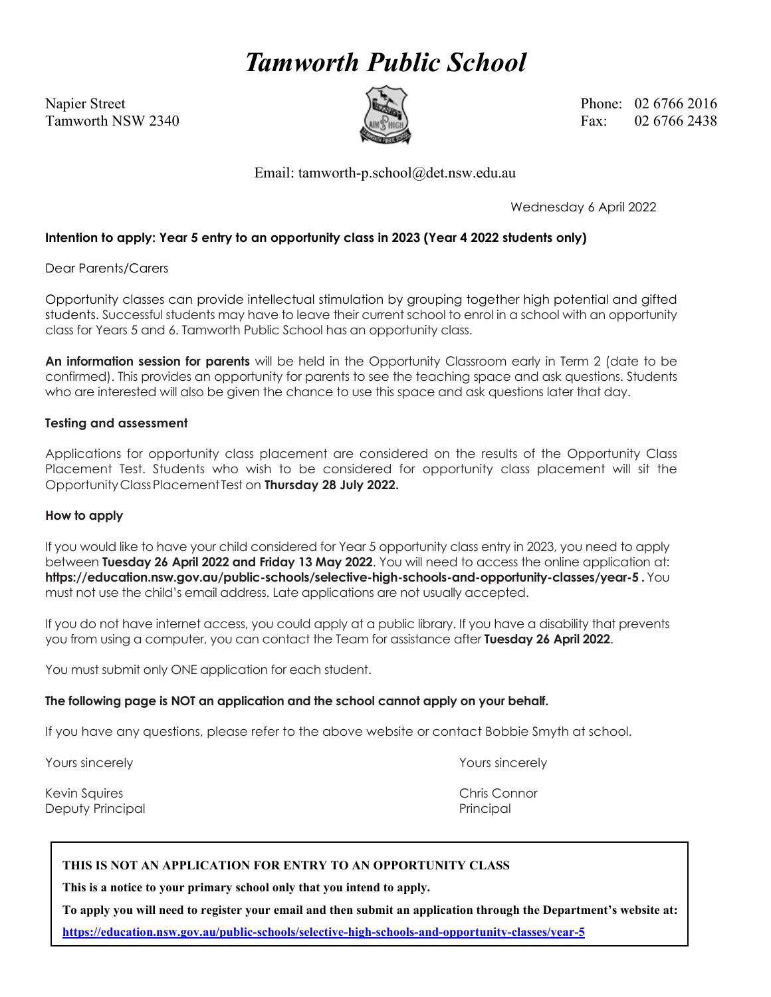# *Tamworth Public School*



Napier Street Phone: 02 6766 2016 Tamworth NSW 2340  $\left(\frac{m}{m}\right)$  Fax: 02.6766.2438

Email: tamworth-p.school@det.nsw.edu.au

Wednesday 6 April 2022

### **Intention to apply: Year 5 entry to an opportunity class in 2023 (Year 4 2022 students only)**

Dear Parents/Carers

Opportunity classes can provide intellectual stimulation by grouping together high potential and gifted students. Successful students may have to leave their current school to enrol in a school with an opportunity class for Years 5 and 6. Tamworth Public School has an opportunity class.

**An information session for parents** will be held in the Opportunity Classroom early in Term 2 (date to be confirmed). This provides an opportunity for parents to see the teaching space and ask questions. Students who are interested will also be given the chance to use this space and ask questions later that day.

#### **Testing and assessment**

Applications for opportunity class placement are considered on the results of the Opportunity Class Placement Test. Students who wish to be considered for opportunity class placement will sit the OpportunityClassPlacement Test on **Thursday 28 July 2022.**

#### **How to apply**

If you would like to have your child considered for Year 5 opportunity class entry in 2023, you need to apply between **Tuesday 26 April 2022 and Friday 13 May 2022**. You will need to access the online application at: **https://education.nsw.gov.au/public-schools/selective-high-schools-and-opportunity-classes/year-5 .** You must not use the child's email address. Late applications are not usually accepted.

If you do not have internet access, you could apply at a public library. If you have a disability that prevents you from using a computer, you can contact the Team for assistance after Tuesday 26 April 2022.

You must submit only ONE application for each student.

#### **The following page is NOT an application and the school cannot apply on your behalf.**

If you have any questions, please refer to the above website or contact Bobbie Smyth at school.

Yours sincerely Yours sincerely

Kevin Squires Chris Connor Chris Connor Chris Connor Chris Connor Chris Connor Chris Connor Deputy Principal and The Principal Principal Principal Principal Principal Principal Principal Principal Principal Principal Principal Principal Principal Principal Principal Principal Principal Principal Principal Princip

#### **THIS IS NOT AN APPLICATION FOR ENTRY TO AN OPPORTUNITY CLASS**

**This is a notice to your primary school only that you intend to apply.**

**To apply you will need to register your email and then submit an application through the Department's website at: <https://education.nsw.gov.au/public-schools/selective-high-schools-and-opportunity-classes/year-5>**